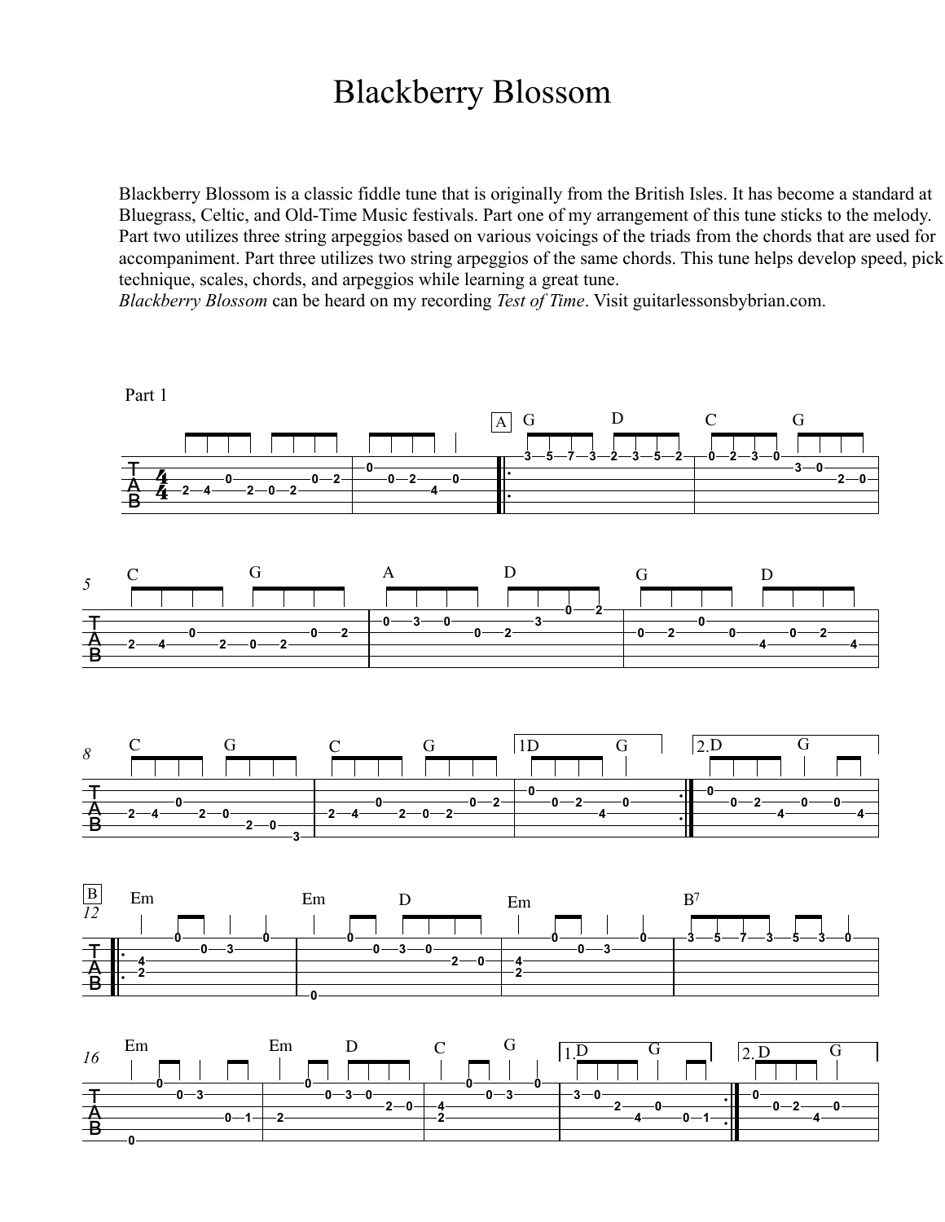## Blackberry Blossom

Blackberry Blossom is a classic fiddle tune that is originally from the British Isles. It has become a standard at Bluegrass, Celtic, and Old-Time Music festivals. Part one of my arrangement of this tune sticks to the melody. Part two utilizes three string arpeggios based on various voicings of the triads from the chords that are used for accompaniment. Part three utilizes two string arpeggios of the same chords. This tune helps develop speed, pick technique, scales, chords, and arpeggios while learning a great tune.

*Blossom* can be heard on my recording *Test of Time*. Visit guitarlessonsbybrian.com.

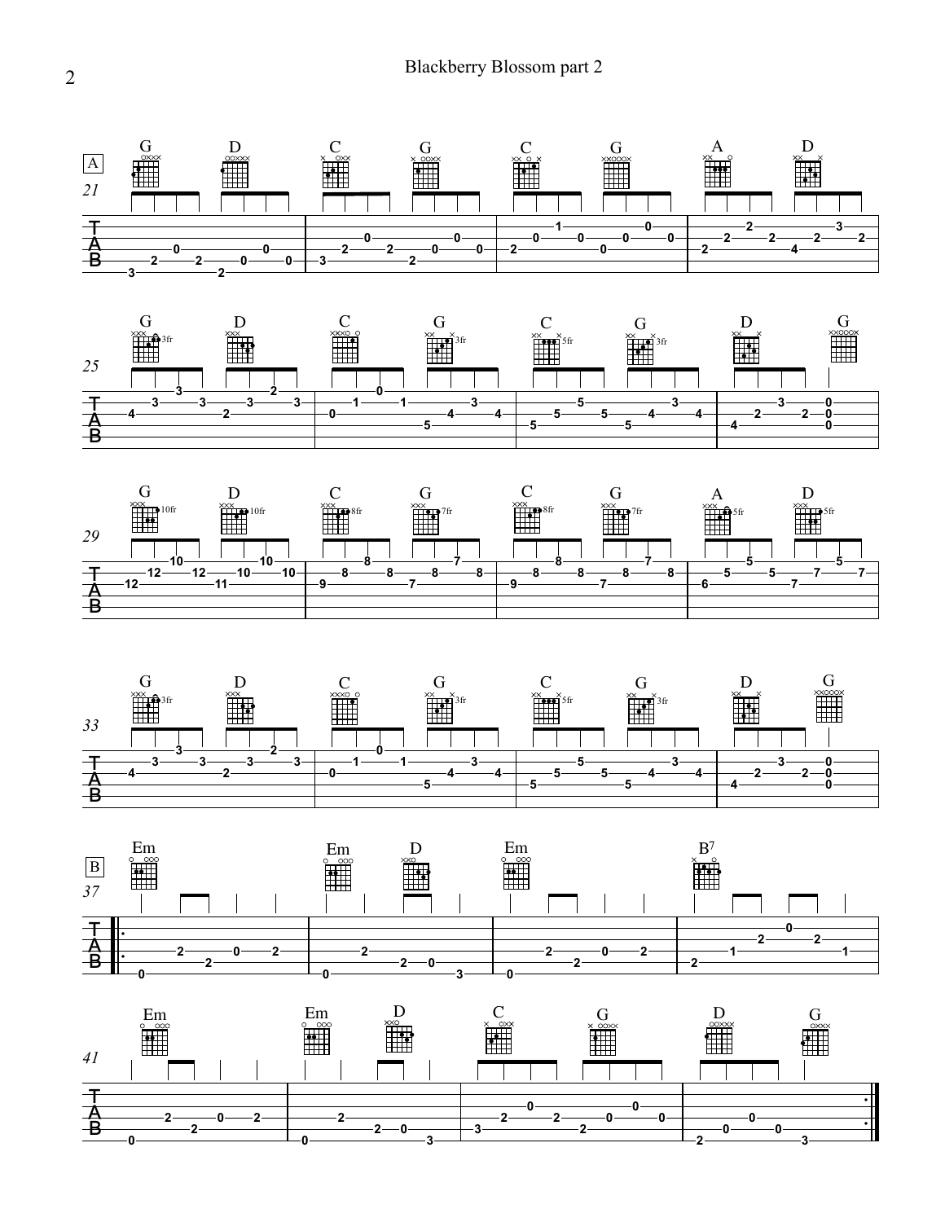